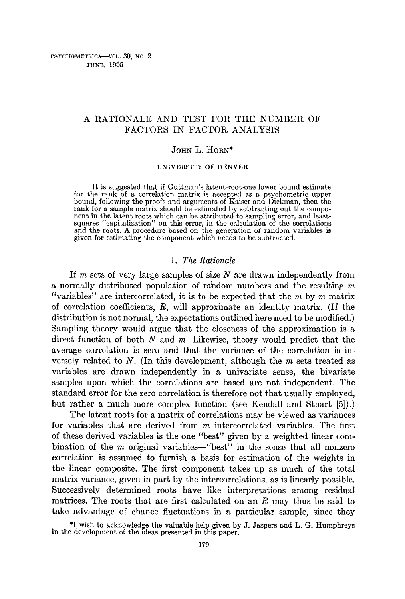# A RATIONALE AND TEST FOR THE NUMBER OF FACTORS IN FACTOR ANALYSIS

#### JOHN L. HORN\*

#### UNIVERSITY OF DENVER

It is suggested that if Guttman's latent-root-one lower bound estimate for the rank of a correlation matrix is accepted as a psychometric upper bound, following the proofs and arguments of Kaiser and Dickman, then the rank for a sample matrix should be estimated by subtracting out the compo-nent in the latent roots which can be attributed to sampling error, and leastsquares "capitalization" on this error, in the calculation of the correlations and the roots. A procedure based on the generation of random variables is given for estimating the component which needs to be subtracted.

#### *1. The Rationale*

If m sets of very large samples of size  $N$  are drawn independently from a normally distributed population of random numbers and the resulting  $m$ *"variables"* are intercorrelated, it is to be expected that the m by m matrix of correlation coefficients,  $R$ , will approximate an identity matrix. (If the distribution is not normal, the expectations outlined here need to be modified.) Sampling theory would argue that the closeness of the approximation is a direct function of both  $N$  and  $m$ . Likewise, theory would predict that the average correlation is zero and that the variance of the correlation is inversely related to  $N$ . (In this development, although the  $m$  sets treated as variables are drawn independently in a univariate sense, the bivariate samples upon which the correlations are based are not independent. The standard error for the zero correlation is therefore not that usually employed, but rather a much more complex function (see Kendall and Stuart [5]).)

The latent roots for a matrix of correlations may be viewed as variances for variables that are derived from m intercorrelated variables. The first of these derived variables is the one "best" given by a weighted linear combination of the  $m$  original variables—"best" in the sense that all nonzero correlation is assumed to furnish a basis for estimation of the weights in the linear composite. The first component takes up as much of the total matrix variance, given in part by the intercorrelations, as is linearly possible. Successively determined roots have like interpretations among residual matrices. The roots that are first calculated on an R may thus be said to take advantage of chance fluctuations in a particular sample, since they

\*I wish to acknowledge the valuable help given by J. Jaspers and L. G. Humphreys in the development of the ideas presented in this paper.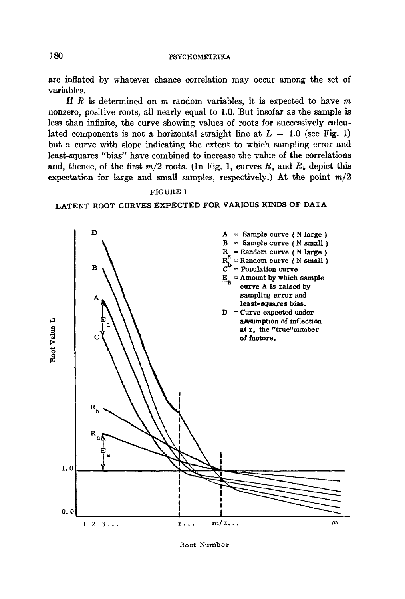## **<sup>180</sup>PSYCIIOMETRIKA**

are inflated by whatever chance correlation may occur among the set of variables.

If  $R$  is determined on  $m$  random variables, it is expected to have  $m$ nonzero, positive roots, all nearly equal to 1.0. But insofar as the sample is less than infinite, the curve showing values of roots for successively calculated components is not a horizontal straight line at  $L = 1.0$  (see Fig. 1) but a curve with slope indicating the extent to which saznpling error and least-squares *"bias"* have combined to increase the value of the correlations and, thence, of the first  $m/2$  roots. (In Fig. 1, curves  $R_a$  and  $R_b$  depict this expectation for large and small samples, respectively.) At the point *m/2* 

# FIGURE 1 LATENT ROOT CURVES EXPECTED FOR VARIOUS KINDS OF DATA



Root Number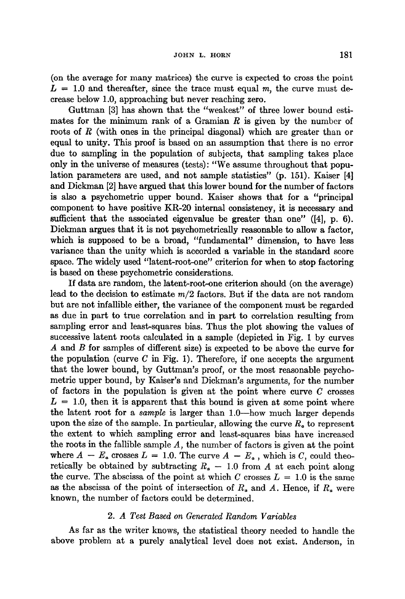(on the average for many matrices) the curve is expected to cross the point  $L = 1.0$  and thereafter, since the trace must equal m, the curve must decrease below 1.0, approaching but never reaching zero.

Guttman [3] has shown that the "weakest" of three lower bound estimates for the minimum rank of a Gramian  $R$  is given by the number of roots of R (with ones in the principal diagonal) which are greater than or equal to unity. This proof is based on an assumption that there is no error due to sampling in the population of subjects, that sampling takes place only in the universe of measures (tests): *"We* assume throughout that population parameters are used, and not sample statistics" (p. 151). Kaiser [4] and Dickman [2] have argued that this lower bound for the number of factors is also a psychometric upper bound. Kaiser shows that for a "principal component to have positive KR-20 internal consistency, it is necessary and sufficient that the associated eigenvalue be greater than one" ([4], p. 6). Dickman argues that it is not psychometrically reasonable to allow a factor, which is supposed to be a broad, "fundamental" dimension, to have less variance than the unity which is accorded a variable in the standard score space. The widely used "latent-root-one" criterion for when to stop factoring is based on these psychometric considerations.

If data are random, the latent-root-one criterion should (on the average) lead to the decision to estimate *m/2* factors. But if the data are not random but are not infallible either, the variance of the component must be regarded as due in part to true correlation and in part to correlation resulting from sampling error and least-squares bias. Thus the plot showing the values of successive latent roots calculated in a sample (depicted in Fig. 1 by curves A and B for samples of different size) is expected to be above the curve for the population (curve  $C$  in Fig. 1). Therefore, if one accepts the argument that the lower bound, by Guttman's proof, or the most reasonable psychometric upper bound, by Kaiser's and Dickman's arguments, for the number of factors in the population is given at the point where curve  $C$  crosses  $L = 1.0$ , then it is apparent that this bound is given at some point where the latent root for a *sample* is larger than 1.0--how much larger depends upon the size of the sample. In particular, allowing the curve  $R_a$  to represent the extent to which sampling error and least-squares bias have increased the roots in the fallible sample *A,* the number of factors is given at the point where  $A - E_a$  crosses  $L = 1.0$ . The curve  $A - E_a$ , which is *C*, could theoretically be obtained by subtracting  $R_a - 1.0$  from A at each point along the curve. The abscissa of the point at which C crosses  $L = 1.0$  is the same as the abscissa of the point of intersection of  $R_a$  and A. Hence, if  $R_a$  were known, the number of factors could be determined.

### *2. A Test Based on Generated Random Variables*

As far as the writer knows, the statistical theory needed to handle the above problem at a purely analytical level does not exist. Anderson, in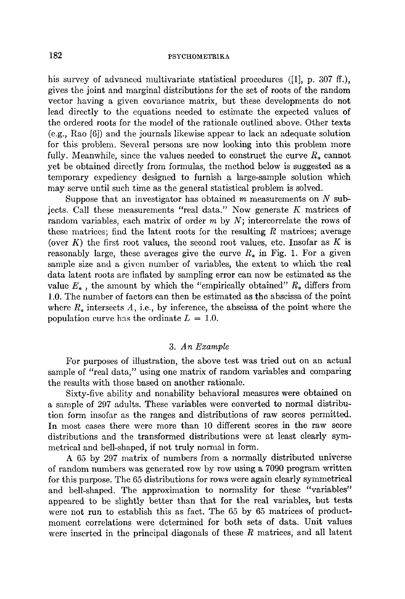#### 182 PSYCHOMETRIKA

his survey of advanced multivariate statistical procedures ([1], p. 307 ff.). gives the joint and marginal distributions for the set of roots of the random vector having a given covariance matrix, but these developments do not lead directly to the equations needed to estimate the expected values of the ordered roots for the model of the rationale outlined above. Other texts (e.g., Rao [6]) and the journals likewise appear to lack an adequate solution for this problem. Several persons are now looking into this problem more fully. Meanwhile, since the values needed to construct the curve  $R_a$  cannot yet be obtained directly from formulas, the method below is suggested as a temporary expediency designed to furnish a large-sample solution which may serve until such time as the general statistical problem is solved.

Suppose that an investigator has obtained  $m$  measurements on  $N$  subjects. Call these measurements "real data." Now generate  $K$  matrices of random variables, each matrix of order  $m$  by  $N$ ; intercorrelate the rows of these matrices; find the latent roots for the resulting  $R$  matrices; average (over  $K$ ) the first root values, the second root values, etc. Insofar as  $K$  is reasonably large, these averages give the curve  $R_a$  in Fig. 1. For a given sample size and a given number of variables, the extent to which the real data latent roots are inflated by sampling error can now be estimated as the value  $E_a$ , the amount by which the "empirically obtained"  $R_a$  differs from 1.0. The number of factors can then be estimated as the abscissa of the point where  $R_a$  intersects A, i.e., by inference, the abscissa of the point where the population curve has the ordinate  $L = 1.0$ .

#### *3. An Example*

For purposes of illustration, the above test was tried out on an actual sample of "real data," using one matrix of random variables and comparing the results with those based on another rationale.

Sixty-five ability and nonability behavioral measures were obtained on a sample of 297 adults. These variables were converted to normal distribution form insofar as the ranges and distributions of raw scores permitted. In most cases there were more than 10 different scores in the raw score distributions and the transformed distributions were at least clearly symmetrical and bell-shaped, if not truly normal in form.

A 65 by *297* matrix of numbers from a normally distributed universe of random numbers was generated row by row using a 7090 program written for this purpose. The 65 distributions for rows were again clearly symmetrical and bell-shaped. The approximation to normality for these "variables" appeared to be slightly better than that for the real variables, but tests were not run to establish this as fact. The 65 by 65 matrices of productmoment correlations were determined for both sets of data. Unit values were inserted in the principal diagonals of these  $R$  matrices, and all latent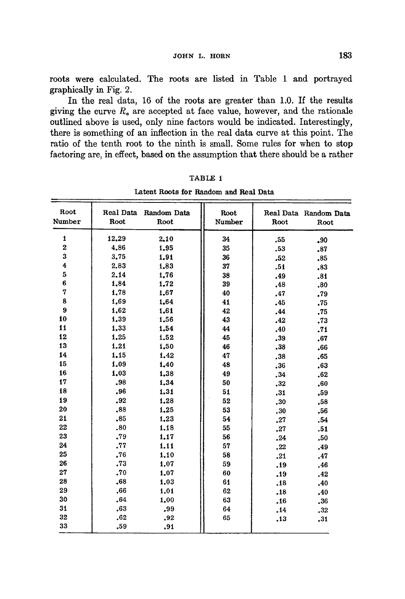roots were calculated. The roots are listed in Table 1 and portrayed graphically in Fig. 2.

In the real data, 16 of the roots are greater than 1.0. If the results giving the curve  $R<sub>a</sub>$  are accepted at face value, however, and the rationale outlined above is used, only nine factors would be indicated. Interestingly, there is something of an inflection in the real data curve at this point. The ratio of the tenth root to the ninth is small. Some rules for when to stop factoring are, in effect, based on the assumption that there should be a rather

| Root<br>Number | Root  | Real Data Random Data<br>Root | Root<br>Number | Root            | Real Data Random Data<br>Root |
|----------------|-------|-------------------------------|----------------|-----------------|-------------------------------|
| 1              | 12,29 | 2,10                          | 34             | .55             | .90                           |
| $\mathbf 2$    | 4,86  | 1.95                          | 35             | .53             | .87                           |
| 3              | 3.75  | 1.91                          | 36             | .52             | .85                           |
| 4              | 2.83  | 1,83                          | 37             | .51             | .83                           |
| 5              | 2.14  | 1.76                          | 38             | .49             | .81                           |
| 6              | 1,84  | 1.72                          | 39             | .48             | .80                           |
| 7              | 1,78  | 1.67                          | 40             | .47             | .79                           |
| 8              | 1,69  | 1.64                          | 41             | .45             | .75                           |
| 9              | 1,62  | 1.61                          | 42             | .44             | .75                           |
| 10             | 1,39  | 1.56                          | 43             | .42             | .73                           |
| 11             | 1.33  | 1.54                          | 44             | .40             | .71                           |
| 12             | 1.25  | 1.52                          | 45             | .39             | .67                           |
| 13             | 1.21  | 1.50                          | 46             | .38             | .66                           |
| 14             | 1.15  | 1.42                          | 47             | .38             | .65                           |
| 15             | 1.09  | 1.40                          | 48             | .36             | .63                           |
| 16             | 1.03  | 1,38                          | 49             | 34 <sup>°</sup> | .62                           |
| 17             | .98   | 1,34                          | 50             | .32             | .60                           |
| 18             | .96   | 1.31                          | 51             | .31             | .59                           |
| 19             | .92   | 1.28                          | 52             | .30             | .58                           |
| 20             | .88   | 1.25                          | 53             | ,30             | .56                           |
| 21             | .85   | 1.23                          | 54             | .27             | .54                           |
| 22             | .80   | 1.18                          | 55             | .27             | .51                           |
| 23             | .79   | 1.17                          | 56             | .24             | .50                           |
| 24             | .77   | 1.11                          | 57             | .22             | .49                           |
| 25             | .76   | 1.10                          | 58             | .21             | .47                           |
| 26             | ,73   | 1.07                          | 59             | .19             | .46                           |
| 27             | .70   | 1,07                          | 60             | .19             | .42                           |
| 28             | .68   | 1.03                          | 61             | .18             | .40                           |
| 29             | .66   | 1.01                          | 62             | .18             | .40                           |
| 30             | .64   | 1.00                          | 63             | .16             | .36                           |
| 31             | .63   | .99                           | 64             | .14             | .32                           |
| 32             | .62   | .92                           | 65             | .13             | .31                           |
| 33             | .59   | .91                           |                |                 |                               |

TABLE 1

Latent Roots for Random and Real Data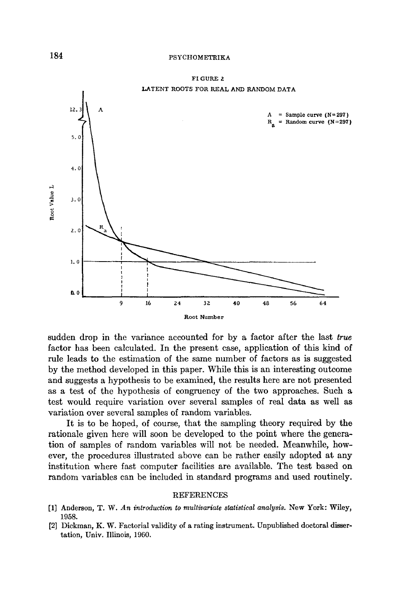

FI GURE 2 LATENT ROOTS FOR REAL AND RANDOM DATA

sudden drop in the variance accounted for by a factor after the last *true*  factor has been calculated. In the present case, application of this kind of rule leads to the estimation of the same number of factors as is suggested by the method developed in this paper. While this is an interesting outcome and suggests a hypothesis to be examined, the results here are not presented as a test of the hypothesis of congruency of the two approaches. Such a test would require variation over several samples of real data as well as variation over several samples of random variables.

# tion of samples of random variables will not be needed. Meanwhile, however, the procedures illustrated above can be rather easily adopted at any institution where fast computer facilities are available. The test based on random variables can be included in standard programs and used routinely.

It is to be hoped, of course, that the sampling theory required by the rationale given here will soon be developed to the point where the genera-

#### REFERENCES

- [1] Anderson, T. W. *An introduction to multivariate statistical analysis.* New York: Wiley, 1958.
- [2] Dickman, K. W. Factorial validity of a rating instrument. Unpublished doctoral dissertation, Univ. Illinois, 1960.